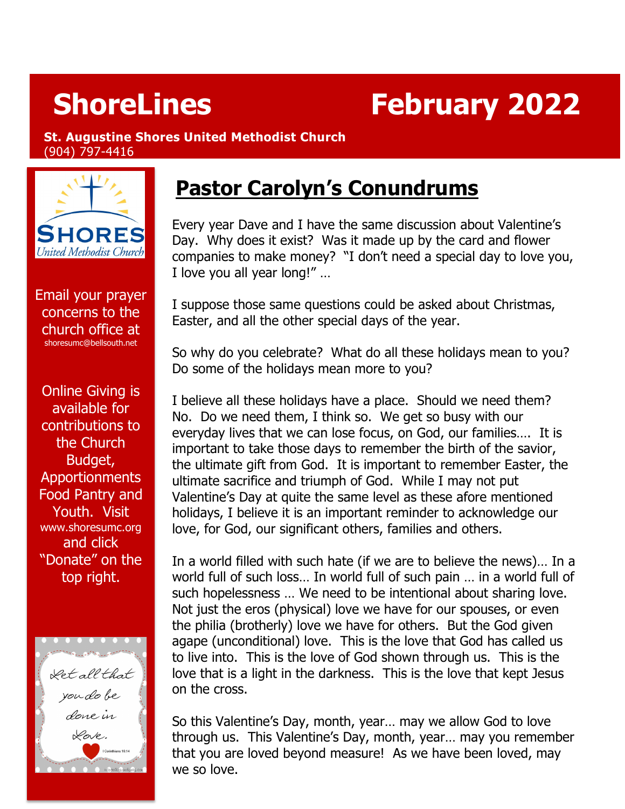# **ShoreLines February 2022**

#### **St. Augustine Shores United Methodist Church**  (904) 797-4416



Email your prayer concerns to the church office at [shoresumc@bellsouth.net](mailto:shoresumc@bellsouth.net)

Online Giving is available for contributions to the Church Budget, Apportionments Food Pantry and Youth. Visit [www.shoresumc.org](http://www.shoresumc.org/) and click "Donate" on the top right.



# **Pastor Carolyn's Conundrums**

Every year Dave and I have the same discussion about Valentine's Day. Why does it exist? Was it made up by the card and flower companies to make money? "I don't need a special day to love you, I love you all year long!" …

I suppose those same questions could be asked about Christmas, Easter, and all the other special days of the year.

So why do you celebrate? What do all these holidays mean to you? Do some of the holidays mean more to you?

I believe all these holidays have a place. Should we need them? No. Do we need them, I think so. We get so busy with our everyday lives that we can lose focus, on God, our families…. It is important to take those days to remember the birth of the savior, the ultimate gift from God. It is important to remember Easter, the ultimate sacrifice and triumph of God. While I may not put Valentine's Day at quite the same level as these afore mentioned holidays, I believe it is an important reminder to acknowledge our love, for God, our significant others, families and others.

In a world filled with such hate (if we are to believe the news)… In a world full of such loss… In world full of such pain … in a world full of such hopelessness … We need to be intentional about sharing love. Not just the eros (physical) love we have for our spouses, or even the philia (brotherly) love we have for others. But the God given agape (unconditional) love. This is the love that God has called us to live into. This is the love of God shown through us. This is the love that is a light in the darkness. This is the love that kept Jesus on the cross.

So this Valentine's Day, month, year… may we allow God to love through us. This Valentine's Day, month, year… may you remember that you are loved beyond measure! As we have been loved, may we so love.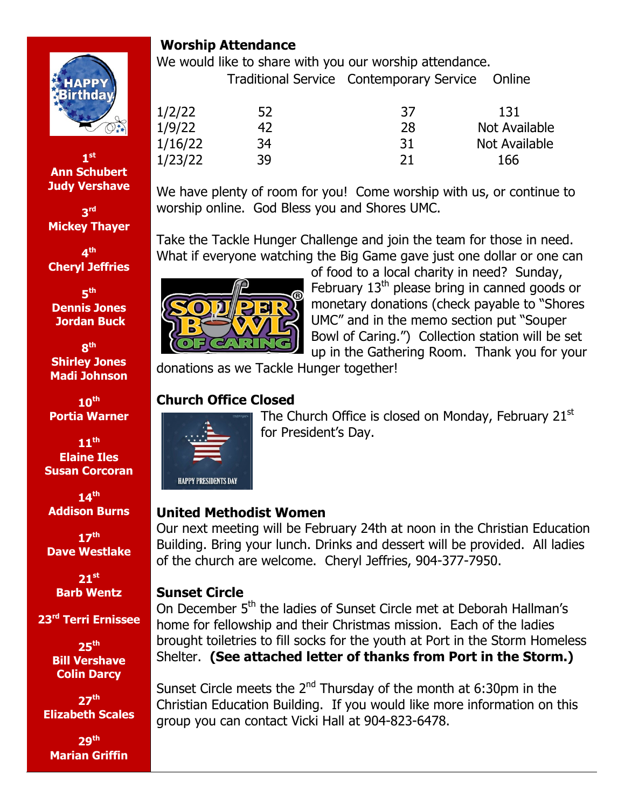

**1st Ann Schubert Judy Vershave**

**3rd Mickey Thayer**

**4th Cheryl Jeffries**

**5th Dennis Jones Jordan Buck**

**8th Shirley Jones Madi Johnson** 

**10th Portia Warner**

**11th Elaine Iles Susan Corcoran**

**14th Addison Burns**

**17th Dave Westlake**

> **21st Barb Wentz**

**23rd Terri Ernissee**

**25th Bill Vershave Colin Darcy**

**27th Elizabeth Scales**

**29th Marian Griffin** 

# **Worship Attendance**

We would like to share with you our worship attendance. Traditional Service Contemporary Service Online

| 1/2/22  | 52 | 37 | 131           |
|---------|----|----|---------------|
| 1/9/22  | 42 | 28 | Not Available |
| 1/16/22 | 34 | 31 | Not Available |
| 1/23/22 | 39 | 21 | 166           |

We have plenty of room for you! Come worship with us, or continue to worship online. God Bless you and Shores UMC.

Take the Tackle Hunger Challenge and join the team for those in need. What if everyone watching the Big Game gave just one dollar or one can



of food to a local charity in need? Sunday, February 13<sup>th</sup> please bring in canned goods or monetary donations (check payable to "Shores UMC" and in the memo section put "Souper Bowl of Caring.") Collection station will be set up in the Gathering Room. Thank you for your

donations as we Tackle Hunger together!

# **Church Office Closed**



The Church Office is closed on Monday, February  $21<sup>st</sup>$ for President's Day.

# **United Methodist Women**

Our next meeting will be February 24th at noon in the Christian Education Building. Bring your lunch. Drinks and dessert will be provided. All ladies of the church are welcome. Cheryl Jeffries, 904-377-7950.

# **Sunset Circle**

On December 5<sup>th</sup> the ladies of Sunset Circle met at Deborah Hallman's home for fellowship and their Christmas mission. Each of the ladies brought toiletries to fill socks for the youth at Port in the Storm Homeless Shelter. **(See attached letter of thanks from Port in the Storm.)**

Sunset Circle meets the  $2^{nd}$  Thursday of the month at 6:30pm in the Christian Education Building. If you would like more information on this group you can contact Vicki Hall at 904-823-6478.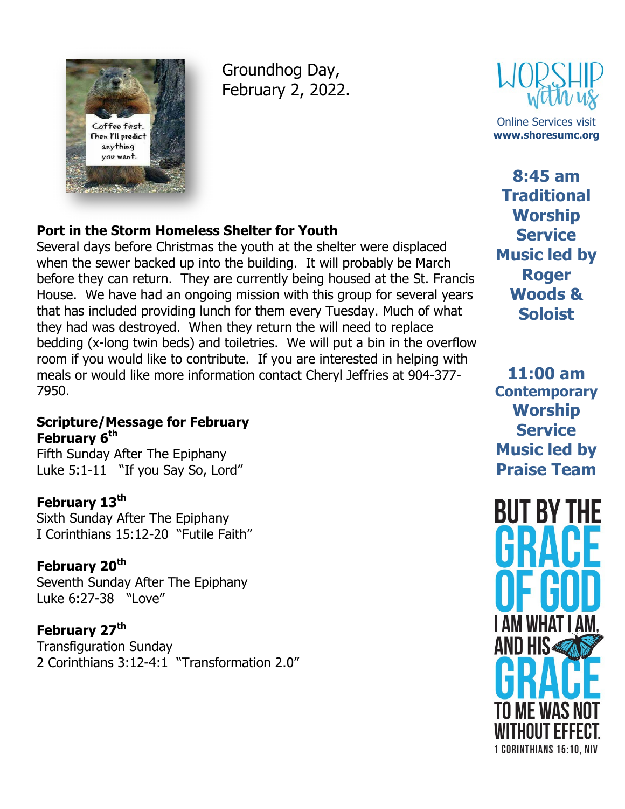

Groundhog Day, February 2, 2022.

### **Port in the Storm Homeless Shelter for Youth**

Several days before Christmas the youth at the shelter were displaced when the sewer backed up into the building. It will probably be March before they can return. They are currently being housed at the St. Francis House. We have had an ongoing mission with this group for several years that has included providing lunch for them every Tuesday. Much of what they had was destroyed. When they return the will need to replace bedding (x-long twin beds) and toiletries. We will put a bin in the overflow room if you would like to contribute. If you are interested in helping with meals or would like more information contact Cheryl Jeffries at 904-377- 7950.

#### **Scripture/Message for February February 6th**

Fifth Sunday After The Epiphany Luke 5:1-11 "If you Say So, Lord"

### **February 13th**

Sixth Sunday After The Epiphany I Corinthians 15:12-20 "Futile Faith"

### **February 20th**

Seventh Sunday After The Epiphany Luke 6:27-38 "Love"

**February 27th** Transfiguration Sunday 2 Corinthians 3:12-4:1 "Transformation 2.0"



Online Services visit **[www.shoresumc.org](http://www.shoresumc.org/)**

**8:45 am Traditional Worship Service Music led by Roger Woods & Soloist**

**11:00 am Contemporary Worship Service Music led by Praise Team**